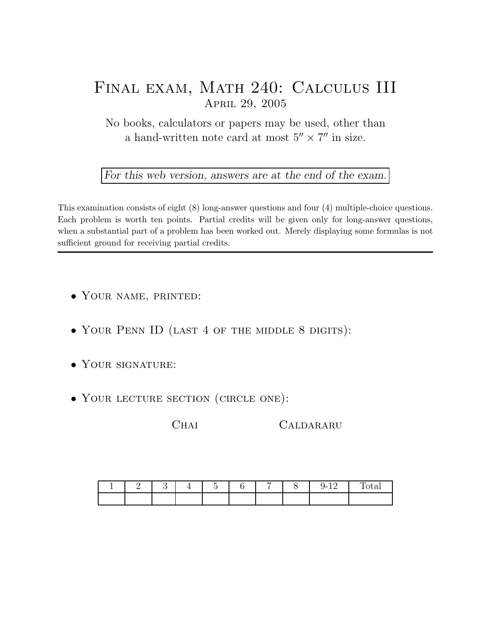## Final exam, Math 240: Calculus III April 29, 2005

No books, calculators or papers may be used, other than a hand-written note card at most  $5'' \times 7''$  in size.

For this web version, answers are at the end of the exam.

This examination consists of eight (8) long-answer questions and four (4) multiple-choice questions. Each problem is worth ten points. Partial credits will be given only for long-answer questions, when a substantial part of a problem has been worked out. Merely displaying some formulas is not sufficient ground for receiving partial credits.

- Your name, printed:
- YOUR PENN ID (LAST 4 OF THE MIDDLE 8 DIGITS):
- YOUR SIGNATURE:
- YOUR LECTURE SECTION (CIRCLE ONE):

CHAI CALDARARU

| – |  | $\overline{\phantom{0}}$ | $\overline{\phantom{a}}$ | $\sim$<br>∽<br>ч- 1<br>-- | —<br>$\sim$<br>rovar |
|---|--|--------------------------|--------------------------|---------------------------|----------------------|
|   |  |                          |                          |                           |                      |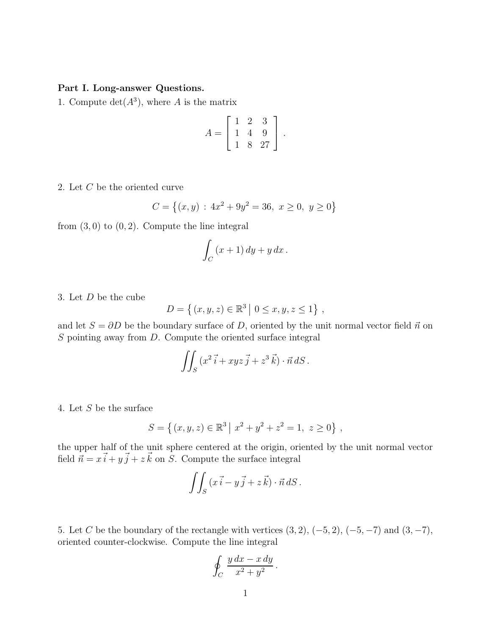## Part I. Long-answer Questions.

1. Compute  $\det(A^3)$ , where A is the matrix

$$
A = \left[ \begin{array}{rrr} 1 & 2 & 3 \\ 1 & 4 & 9 \\ 1 & 8 & 27 \end{array} \right].
$$

2. Let C be the oriented curve

$$
C = \left\{ (x, y) \, : \, 4x^2 + 9y^2 = 36, \ x \ge 0, \ y \ge 0 \right\}
$$

from  $(3,0)$  to  $(0,2)$ . Compute the line integral

$$
\int_C (x+1) \, dy + y \, dx \, .
$$

3. Let D be the cube

$$
D = \{(x, y, z) \in \mathbb{R}^3 \mid 0 \le x, y, z \le 1\},\
$$

and let  $S = \partial D$  be the boundary surface of D, oriented by the unit normal vector field  $\vec{n}$  on  $S$  pointing away from  $D$ . Compute the oriented surface integral

$$
\iint_S (x^2 \vec{i} + xyz \vec{j} + z^3 \vec{k}) \cdot \vec{n} dS.
$$

4. Let S be the surface

$$
S = \{(x, y, z) \in \mathbb{R}^3 \mid x^2 + y^2 + z^2 = 1, z \ge 0\},\,
$$

the upper half of the unit sphere centered at the origin, oriented by the unit normal vector field  $\vec{n} = x\vec{i} + y\vec{j} + z\vec{k}$  on S. Compute the surface integral

$$
\iint_S (x\vec{i} - y\vec{j} + z\vec{k}) \cdot \vec{n} \, dS \, .
$$

5. Let C be the boundary of the rectangle with vertices  $(3, 2)$ ,  $(-5, 2)$ ,  $(-5, -7)$  and  $(3, -7)$ , oriented counter-clockwise. Compute the line integral

$$
\oint_C \frac{y\,dx - x\,dy}{x^2 + y^2} \,.
$$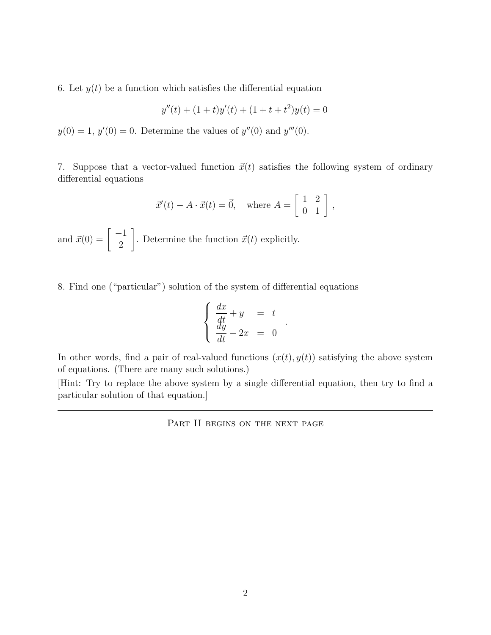6. Let  $y(t)$  be a function which satisfies the differential equation

$$
y''(t) + (1+t)y'(t) + (1+t+t^2)y(t) = 0
$$

 $y(0) = 1, y'(0) = 0.$  Determine the values of  $y''(0)$  and  $y'''(0)$ .

7. Suppose that a vector-valued function  $\vec{x}(t)$  satisfies the following system of ordinary differential equations

$$
\vec{x}'(t) - A \cdot \vec{x}(t) = \vec{0}, \text{ where } A = \begin{bmatrix} 1 & 2 \\ 0 & 1 \end{bmatrix},
$$

and  $\vec{x}(0) = \begin{bmatrix} -1 \\ 2 \end{bmatrix}$ 2 . Determine the function  $\vec{x}(t)$  explicitly.

8. Find one ("particular") solution of the system of differential equations

$$
\begin{cases}\n\frac{dx}{dt} + y = t \\
\frac{dy}{dt} - 2x = 0\n\end{cases}
$$

.

In other words, find a pair of real-valued functions  $(x(t), y(t))$  satisfying the above system of equations. (There are many such solutions.)

[Hint: Try to replace the above system by a single differential equation, then try to find a particular solution of that equation.]

PART II BEGINS ON THE NEXT PAGE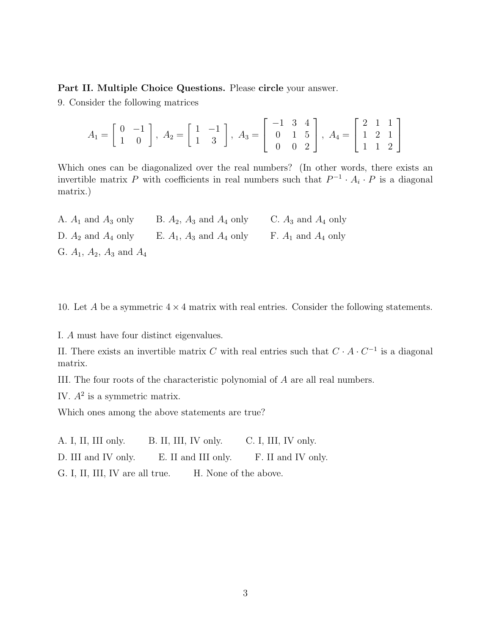## Part II. Multiple Choice Questions. Please circle your answer.

9. Consider the following matrices

$$
A_1 = \begin{bmatrix} 0 & -1 \\ 1 & 0 \end{bmatrix}, A_2 = \begin{bmatrix} 1 & -1 \\ 1 & 3 \end{bmatrix}, A_3 = \begin{bmatrix} -1 & 3 & 4 \\ 0 & 1 & 5 \\ 0 & 0 & 2 \end{bmatrix}, A_4 = \begin{bmatrix} 2 & 1 & 1 \\ 1 & 2 & 1 \\ 1 & 1 & 2 \end{bmatrix}
$$

Which ones can be diagonalized over the real numbers? (In other words, there exists an invertible matrix P with coefficients in real numbers such that  $P^{-1} \cdot A_i \cdot P$  is a diagonal matrix.)

| A. $A_1$ and $A_3$ only            | B. $A_2$ , $A_3$ and $A_4$ only | C. $A_3$ and $A_4$ only |
|------------------------------------|---------------------------------|-------------------------|
| D. $A_2$ and $A_4$ only            | E. $A_1$ , $A_3$ and $A_4$ only | F. $A_1$ and $A_4$ only |
| G. $A_1$ , $A_2$ , $A_3$ and $A_4$ |                                 |                         |

10. Let A be a symmetric  $4 \times 4$  matrix with real entries. Consider the following statements.

I. A must have four distinct eigenvalues.

II. There exists an invertible matrix C with real entries such that  $C \cdot A \cdot C^{-1}$  is a diagonal matrix.

III. The four roots of the characteristic polynomial of A are all real numbers.

IV.  $A^2$  is a symmetric matrix.

Which ones among the above statements are true?

A. I, II, III only. B. II, III, IV only. C. I, III, IV only.

D. III and IV only. E. II and III only. F. II and IV only.

G. I, II, III, IV are all true. H. None of the above.